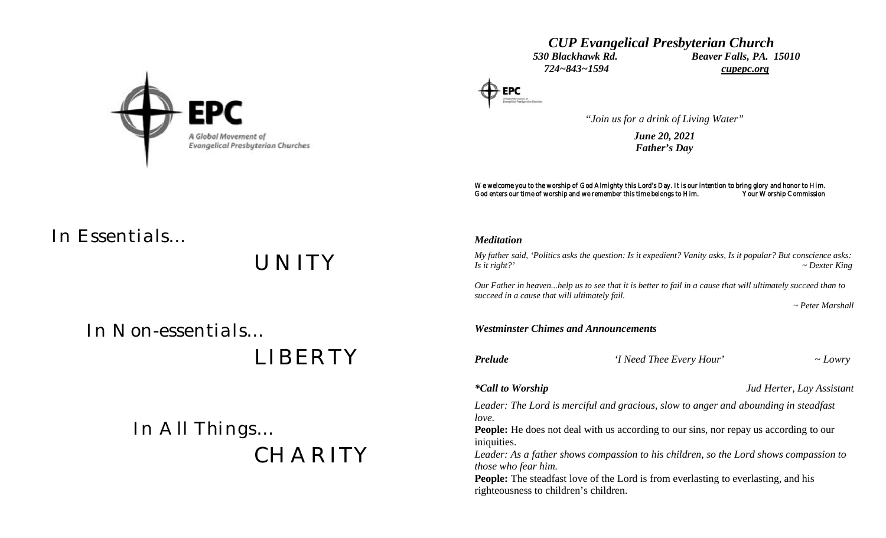

# *CUP Evangelical Presbyterian Church 530 Blackhawk Rd. Beaver Falls, PA. 15010 724~843~1594 cupepc.org*



*"Join us for a drink of Living Water"*

*June 20, 2021 Father's Day*

We welcome you to the worship of God Almighty this Lord's Day. It is our intention to bring glory and honor to Him. God enters our time of worship and we remember this time belongs to Him. Your Worship Commission

*In Essentials…*

*UNITY*

 *In Non-essentials…*

 *LIBERTY*

 *In All Things… CHARITY*

# *Meditation*

*My father said, 'Politics asks the question: Is it expedient? Vanity asks, Is it popular? But conscience asks: Is it right?' ~ Dexter King*

*Our Father in heaven...help us to see that it is better to fail in a cause that will ultimately succeed than to succeed in a cause that will ultimately fail.*

 *~ Peter Marshall*

## *Westminster Chimes and Announcements*

*Prelude 'I Need Thee Every Hour' ~ Lowry*

*\*Call to Worship Jud Herter, Lay Assistant*

*Leader: The Lord is merciful and gracious, slow to anger and abounding in steadfast love.*

**People:** He does not deal with us according to our sins, nor repay us according to our iniquities.

*Leader: As a father shows compassion to his children, so the Lord shows compassion to those who fear him.*

**People:** The steadfast love of the Lord is from everlasting to everlasting, and his righteousness to children's children.